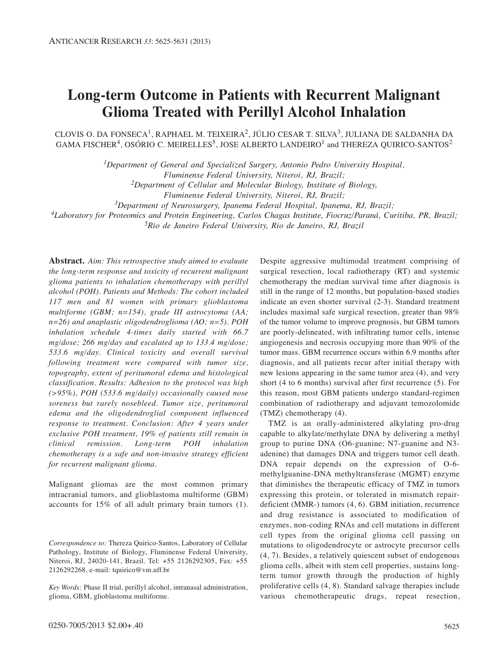# **Long-term Outcome in Patients with Recurrent Malignant Glioma Treated with Perillyl Alcohol Inhalation**

CLOVIS O. DA FONSECA<sup>1</sup>, RAPHAEL M. TEIXEIRA<sup>2</sup>, JÚLIO CESAR T. SILVA<sup>3</sup>, JULIANA DE SALDANHA DA GAMA FISCHER<sup>4</sup>, OSÓRIO C. MEIRELLES<sup>5</sup>, JOSE ALBERTO LANDEIRO<sup>1</sup> and THEREZA QUIRICO-SANTOS<sup>2</sup>

*1Department of General and Specialized Surgery, Antonio Pedro University Hospital,* 

*Fluminense Federal University, Niteroi, RJ, Brazil;*

*2Department of Cellular and Molecular Biology, Institute of Biology,* 

*Fluminense Federal University, Niteroi, RJ, Brazil;*

*3Department of Neurosurgery, Ipanema Federal Hospital, Ipanema, RJ, Brazil;*

*4Laboratory for Proteomics and Protein Engineering, Carlos Chagas Institute, Fiocruz/Paraná, Curitiba, PR, Brazil;*

*5Rio de Janeiro Federal University, Rio de Janeiro, RJ, Brazil*

**Abstract.** *Aim: This retrospective study aimed to evaluate the long-term response and toxicity of recurrent malignant glioma patients to inhalation chemotherapy with perillyl alcohol (POH). Patients and Methods: The cohort included 117 men and 81 women with primary glioblastoma multiforme (GBM; n=154), grade III astrocytoma (AA; n=26) and anaplastic oligodendroglioma (AO; n=5). POH inhalation schedule 4-times daily started with 66.7 mg/dose; 266 mg/day and escalated up to 133.4 mg/dose; 533.6 mg/day. Clinical toxicity and overall survival following treatment were compared with tumor size, topography, extent of peritumoral edema and histological classification. Results: Adhesion to the protocol was high (>95%), POH (533.6 mg/daily) occasionally caused nose soreness but rarely nosebleed. Tumor size, peritumoral edema and the oligodendroglial component influenced response to treatment. Conclusion: After 4 years under exclusive POH treatment, 19% of patients still remain in clinical remission. Long-term POH inhalation chemotherapy is a safe and non-invasive strategy efficient for recurrent malignant glioma.* 

Malignant gliomas are the most common primary intracranial tumors, and glioblastoma multiforme (GBM) accounts for 15% of all adult primary brain tumors (1).

Despite aggressive multimodal treatment comprising of surgical resection, local radiotherapy (RT) and systemic chemotherapy the median survival time after diagnosis is still in the range of 12 months, but population-based studies indicate an even shorter survival (2-3). Standard treatment includes maximal safe surgical resection, greater than 98% of the tumor volume to improve prognosis, but GBM tumors are poorly-delineated, with infiltrating tumor cells, intense angiogenesis and necrosis occupying more than 90% of the tumor mass. GBM recurrence occurs within 6.9 months after diagnosis, and all patients recur after initial therapy with new lesions appearing in the same tumor area (4), and very short (4 to 6 months) survival after first recurrence (5). For this reason, most GBM patients undergo standard-regimen combination of radiotherapy and adjuvant temozolomide (TMZ) chemotherapy (4).

TMZ is an orally-administered alkylating pro-drug capable to alkylate/methylate DNA by delivering a methyl group to purine DNA (O6-guanine; N7-guanine and N3 adenine) that damages DNA and triggers tumor cell death. DNA repair depends on the expression of O-6 methylguanine-DNA methyltransferase (MGMT) enzyme that diminishes the therapeutic efficacy of TMZ in tumors expressing this protein, or tolerated in mismatch repairdeficient (MMR-) tumors (4, 6). GBM initiation, recurrence and drug resistance is associated to modification of enzymes, non-coding RNAs and cell mutations in different cell types from the original glioma cell passing on mutations to oligodendrocyte or astrocyte precursor cells (4, 7). Besides, a relatively quiescent subset of endogenous glioma cells, albeit with stem cell properties, sustains longterm tumor growth through the production of highly proliferative cells (4, 8). Standard salvage therapies include various chemotherapeutic drugs, repeat resection,

*Correspondence to:* Thereza Quirico-Santos, Laboratory of Cellular Pathology, Institute of Biology, Fluminense Federal University, Niteroi, RJ, 24020-141, Brazil. Tel: +55 2126292305, Fax: +55 2126292268, e-mail: tquirico@vm.uff.br

*Key Words:* Phase II trial, perillyl alcohol, intranasal administration, glioma, GBM, glioblastoma multiforme.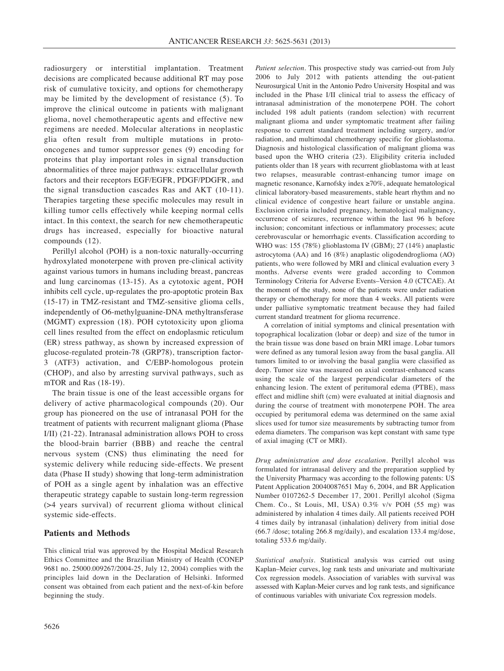radiosurgery or interstitial implantation. Treatment decisions are complicated because additional RT may pose risk of cumulative toxicity, and options for chemotherapy may be limited by the development of resistance (5). To improve the clinical outcome in patients with malignant glioma, novel chemotherapeutic agents and effective new regimens are needed. Molecular alterations in neoplastic glia often result from multiple mutations in protooncogenes and tumor suppressor genes (9) encoding for proteins that play important roles in signal transduction abnormalities of three major pathways: extracellular growth factors and their receptors EGF/EGFR, PDGF/PDGFR, and the signal transduction cascades Ras and AKT (10-11). Therapies targeting these specific molecules may result in killing tumor cells effectively while keeping normal cells intact. In this context, the search for new chemotherapeutic drugs has increased, especially for bioactive natural compounds (12).

Perillyl alcohol (POH) is a non-toxic naturally-occurring hydroxylated monoterpene with proven pre-clinical activity against various tumors in humans including breast, pancreas and lung carcinomas (13-15). As a cytotoxic agent, POH inhibits cell cycle, up-regulates the pro-apoptotic protein Bax (15-17) in TMZ-resistant and TMZ-sensitive glioma cells, independently of O6-methylguanine-DNA methyltransferase (MGMT) expression (18). POH cytotoxicity upon glioma cell lines resulted from the effect on endoplasmic reticulum (ER) stress pathway, as shown by increased expression of glucose-regulated protein-78 (GRP78), transcription factor-3 (ATF3) activation, and C/EBP-homologous protein (CHOP), and also by arresting survival pathways, such as mTOR and Ras (18-19).

The brain tissue is one of the least accessible organs for delivery of active pharmacological compounds (20). Our group has pioneered on the use of intranasal POH for the treatment of patients with recurrent malignant glioma (Phase I/II) (21-22). Intranasal administration allows POH to cross the blood-brain barrier (BBB) and reache the central nervous system (CNS) thus eliminating the need for systemic delivery while reducing side-effects. We present data (Phase II study) showing that long-term administration of POH as a single agent by inhalation was an effective therapeutic strategy capable to sustain long-term regression (>4 years survival) of recurrent glioma without clinical systemic side-effects.

## **Patients and Methods**

This clinical trial was approved by the Hospital Medical Research Ethics Committee and the Brazilian Ministry of Health (CONEP 9681 no. 25000.009267/2004-25, July 12, 2004) complies with the principles laid down in the Declaration of Helsinki. Informed consent was obtained from each patient and the next-of-kin before beginning the study.

*Patient selection.* This prospective study was carried-out from July 2006 to July 2012 with patients attending the out-patient Neurosurgical Unit in the Antonio Pedro University Hospital and was included in the Phase I/II clinical trial to assess the efficacy of intranasal administration of the monoterpene POH. The cohort included 198 adult patients (random selection) with recurrent malignant glioma and under symptomatic treatment after failing response to current standard treatment including surgery, and/or radiation, and multimodal chemotherapy specific for glioblastoma. Diagnosis and histological classification of malignant glioma was based upon the WHO criteria (23). Eligibility criteria included patients older than 18 years with recurrent glioblastoma with at least two relapses, measurable contrast-enhancing tumor image on magnetic resonance, Karnofsky index ≥70%, adequate hematological clinical laboratory-based measurements, stable heart rhythm and no clinical evidence of congestive heart failure or unstable angina. Exclusion criteria included pregnancy, hematological malignancy, occurrence of seizures, recurrence within the last 96 h before inclusion; concomitant infectious or inflammatory processes; acute cerebrovascular or hemorrhagic events. Classification according to WHO was: 155 (78%) glioblastoma IV (GBM); 27 (14%) anaplastic astrocytoma (AA) and 16 (8%) anaplastic oligodendroglioma (AO) patients, who were followed by MRI and clinical evaluation every 3 months. Adverse events were graded according to Common Terminology Criteria for Adverse Events–Version 4.0 (CTCAE). At the moment of the study, none of the patients were under radiation therapy or chemotherapy for more than 4 weeks. All patients were under palliative symptomatic treatment because they had failed current standard treatment for glioma recurrence.

A correlation of initial symptoms and clinical presentation with topographical localization (lobar or deep) and size of the tumor in the brain tissue was done based on brain MRI image. Lobar tumors were defined as any tumoral lesion away from the basal ganglia. All tumors limited to or involving the basal ganglia were classified as deep. Tumor size was measured on axial contrast-enhanced scans using the scale of the largest perpendicular diameters of the enhancing lesion. The extent of peritumoral edema (PTBE), mass effect and midline shift (cm) were evaluated at initial diagnosis and during the course of treatment with monoterpene POH. The area occupied by peritumoral edema was determined on the same axial slices used for tumor size measurements by subtracting tumor from edema diameters. The comparison was kept constant with same type of axial imaging (CT or MRI).

*Drug administration and dose escalation.* Perillyl alcohol was formulated for intranasal delivery and the preparation supplied by the University Pharmacy was according to the following patents: US Patent Application 20040087651 May 6, 2004, and BR Application Number 0107262-5 December 17, 2001. Perillyl alcohol (Sigma Chem. Co., St Louis, MI, USA) 0.3% v/v POH (55 mg) was administered by inhalation 4 times daily. All patients received POH 4 times daily by intranasal (inhalation) delivery from initial dose (66.7 /dose; totaling 266.8 mg/daily), and escalation 133.4 mg/dose, totaling 533.6 mg/daily.

*Statistical analysis.* Statistical analysis was carried out using Kaplan–Meier curves, log rank tests and univariate and multivariate Cox regression models. Association of variables with survival was assessed with Kaplan-Meier curves and log rank tests, and significance of continuous variables with univariate Cox regression models.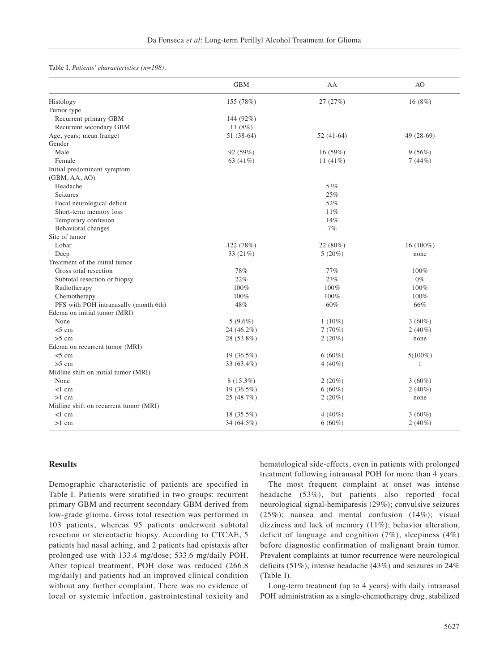#### Table I. *Patients' characteristics (n=198).*

|                                        | <b>GBM</b>   | AA          | AO         |
|----------------------------------------|--------------|-------------|------------|
| Histology                              | 155 (78%)    | 27 (27%)    | 16 (8%)    |
| Tumor type                             |              |             |            |
| Recurrent primary GBM                  | 144 (92%)    |             |            |
| Recurrent secondary GBM                | 11 $(8%)$    |             |            |
| Age, years; mean (range)               | $51(38-64)$  | $52(41-64)$ | 49 (28-69) |
| Gender                                 |              |             |            |
| Male                                   | 92 (59%)     | 16 (59%)    | 9(56%)     |
| Female                                 | 63 (41%)     | 11 $(41\%)$ | 7(44%)     |
| Initial predominant symptom            |              |             |            |
| (GBM, AA, AO)                          |              |             |            |
| Headache                               |              | 53%         |            |
| Seizures                               |              | 25%         |            |
| Focal neurological deficit             |              | 52%         |            |
| Short-term memory loss                 |              | 11%         |            |
| Temporary confusion                    |              | 14%         |            |
| Behavioral changes                     |              | 7%          |            |
| Site of tumor                          |              |             |            |
| Lobar                                  | 122 (78%)    | 22 (80%)    | 16 (100%)  |
| Deep                                   | 33 (21%)     | 5(20%)      | none       |
| Treatment of the initial tumor         |              |             |            |
| Gross total resection                  | 78%          | 77%         | 100%       |
| Subtotal resection or biopsy           | 22%          | 23%         | $0\%$      |
| Radiotherapy                           | 100%         | 100%        | 100%       |
| Chemotherapy                           | 100%         | 100%        | 100%       |
| PFS with POH intranasally (month 6th)  | 48%          | 60%         | 66%        |
| Edema on initial tumor (MRI)           |              |             |            |
| None                                   | $5(9.6\%)$   | $1(10\%)$   | $3(60\%)$  |
| $<$ 5 cm                               | 24 (46.2%)   | 7(70%)      | $2(40\%)$  |
| $>5$ cm                                | 28 (53.8%)   | 2(20%)      | none       |
| Edema on recurrent tumor (MRI)         |              |             |            |
| $<$ 5 cm                               | $19(36.5\%)$ | $6(60\%)$   | $5(100\%)$ |
| $>5$ cm                                | 33 (63.4%)   | $4(40\%)$   | 1          |
| Midline shift on initial tumor (MRI)   |              |             |            |
| None                                   | $8(15.3\%)$  | 2(20%)      | $3(60\%)$  |
| $<1$ cm                                | 19 (36.5%)   | $6(60\%)$   | $2(40\%)$  |
| $>1$ cm                                | 25 (48.7%)   | 2(20%)      | none       |
| Midline shift on recurrent tumor (MRI) |              |             |            |
| $<1$ cm                                | 18 (35.5%)   | $4(40\%)$   | $3(60\%)$  |
| $>1$ cm                                | 34 (64.5%)   | $6(60\%)$   | $2(40\%)$  |

## **Results**

Demographic characteristic of patients are specified in Table I. Patients were stratified in two groups: recurrent primary GBM and recurrent secondary GBM derived from low-grade glioma. Gross total resection was performed in 103 patients, whereas 95 patients underwent subtotal resection or stereotactic biopsy. According to CTCAE, 5 patients had nasal aching, and 2 patients had epistaxis after prolonged use with 133.4 mg/dose; 533.6 mg/daily POH. After topical treatment, POH dose was reduced (266.8 mg/daily) and patients had an improved clinical condition without any further complaint. There was no evidence of local or systemic infection, gastrointestinal toxicity and hematological side-effects, even in patients with prolonged treatment following intranasal POH for more than 4 years.

The most frequent complaint at onset was intense headache (53%), but patients also reported focal neurological signal-hemiparesis (29%); convulsive seizures (25%); nausea and mental confusion (14%); visual dizziness and lack of memory (11%); behavior alteration, deficit of language and cognition (7%), sleepiness (4%) before diagnostic confirmation of malignant brain tumor. Prevalent complaints at tumor recurrence were neurological deficits (51%); intense headache (43%) and seizures in 24% (Table I).

Long-term treatment (up to 4 years) with daily intranasal POH administration as a single-chemotherapy drug, stabilized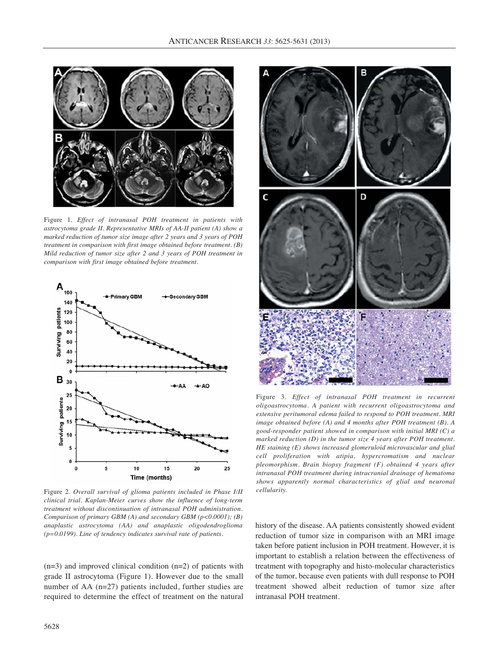

Figure 1. *Effect of intranasal POH treatment in patients with astrocytoma grade II. Representative MRIs of AA-II patient (A) show a marked reduction of tumor size image after 2 years and 3 years of POH treatment in comparison with first image obtained before treatment. (B) Mild reduction of tumor size after 2 and 3 years of POH treatment in comparison with first image obtained before treatment.*



Figure 2. *Overall survival of glioma patients included in Phase I/II cellularity. clinical trial. Kaplan-Meier curves show the influence of long-term treatment without discontinuation of intranasal POH administration. Comparison of primary GBM (A) and secondary GBM (p<0.0001); (B) anaplastic astrocytoma (AA) and anaplastic oligodendroglioma (p=0.0199). Line of tendency indicates survival rate of patients.* 

(n=3) and improved clinical condition (n=2) of patients with grade II astrocytoma (Figure 1). However due to the small number of AA (n=27) patients included, further studies are required to determine the effect of treatment on the natural



Figure 3*. Effect of intranasal POH treatment in recurrent oligoastrocytoma. A patient with recurrent oligoastrocytoma and extensive peritumoral edema failed to respond to POH treatment. MRI image obtained before (A) and 4 months after POH treatment (B). A good-responder patient showed in comparison with initial MRI (C) a marked reduction (D) in the tumor size 4 years after POH treatment. HE staining (E) shows increased glomeruloid microvascular and glial cell proliferation with atipia, hypercromatism and nuclear pleomorphism. Brain biopsy fragment (F) obtained 4 years after intranasal POH treatment during intracranial drainage of hematoma shows apparently normal characteristics of glial and neuronal*

history of the disease. AA patients consistently showed evident reduction of tumor size in comparison with an MRI image taken before patient inclusion in POH treatment. However, it is important to establish a relation between the effectiveness of treatment with topography and histo-molecular characteristics of the tumor, because even patients with dull response to POH treatment showed albeit reduction of tumor size after intranasal POH treatment.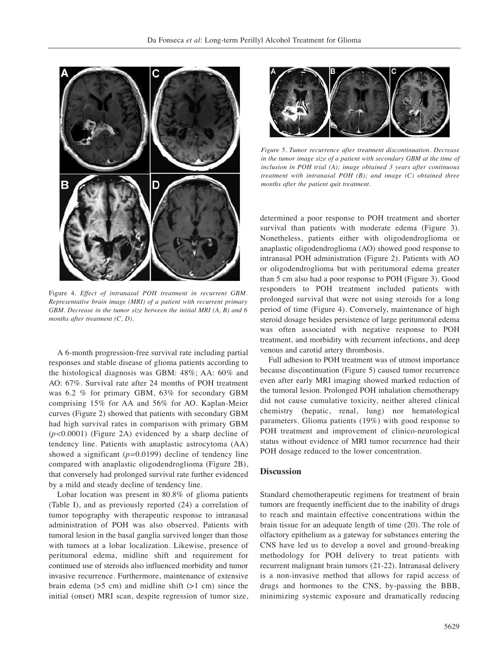

Figure 4. *Effect of intranasal POH treatment in recurrent GBM. Representative brain image (MRI) of a patient with recurrent primary GBM. Decrease in the tumor size between the initial MRI (A, B) and 6 months after treatment (C, D).* 

A 6-month progression-free survival rate including partial responses and stable disease of glioma patients according to the histological diagnosis was GBM: 48%; AA: 60% and AO: 67%. Survival rate after 24 months of POH treatment was 6.2 % for primary GBM, 63% for secondary GBM comprising 15% for AA and 56% for AO. Kaplan-Meier curves (Figure 2) showed that patients with secondary GBM had high survival rates in comparison with primary GBM (*p<*0.0001) (Figure 2A) evidenced by a sharp decline of tendency line. Patients with anaplastic astrocytoma (AA) showed a significant (*p=*0.0199) decline of tendency line compared with anaplastic oligodendroglioma (Figure 2B), that conversely had prolonged survival rate further evidenced by a mild and steady decline of tendency line.

Lobar location was present in 80.8% of glioma patients (Table I), and as previously reported (24) a correlation of tumor topography with therapeutic response to intranasal administration of POH was also observed. Patients with tumoral lesion in the basal ganglia survived longer than those with tumors at a lobar localization. Likewise, presence of peritumoral edema, midline shift and requirement for continued use of steroids also influenced morbidity and tumor invasive recurrence. Furthermore, maintenance of extensive brain edema  $(55 \text{ cm})$  and midline shift  $(51 \text{ cm})$  since the initial (onset) MRI scan, despite regression of tumor size,



*Figure 5. Tumor recurrence after treatment discontinuation. Decrease in the tumor image size of a patient with secondary GBM at the time of inclusion in POH trial (A); image obtained 3 years after continuous treatment with intranasal POH (B); and image (C) obtained three months after the patient quit treatment.* 

determined a poor response to POH treatment and shorter survival than patients with moderate edema (Figure 3). Nonetheless, patients either with oligodendroglioma or anaplastic oligodendroglioma (AO) showed good response to intranasal POH administration (Figure 2). Patients with AO or oligodendroglioma but with peritumoral edema greater than 5 cm also had a poor response to POH (Figure 3). Good responders to POH treatment included patients with prolonged survival that were not using steroids for a long period of time (Figure 4). Conversely, maintenance of high steroid dosage besides persistence of large peritumoral edema was often associated with negative response to POH treatment, and morbidity with recurrent infections, and deep venous and carotid artery thrombosis.

Full adhesion to POH treatment was of utmost importance because discontinuation (Figure 5) caused tumor recurrence even after early MRI imaging showed marked reduction of the tumoral lesion. Prolonged POH inhalation chemotherapy did not cause cumulative toxicity, neither altered clinical chemistry (hepatic, renal, lung) nor hematological parameters. Glioma patients (19%) with good response to POH treatment and improvement of clinico-neurological status without evidence of MRI tumor recurrence had their POH dosage reduced to the lower concentration.

#### **Discussion**

Standard chemotherapeutic regimens for treatment of brain tumors are frequently inefficient due to the inability of drugs to reach and maintain effective concentrations within the brain tissue for an adequate length of time (20). The role of olfactory epithelium as a gateway for substances entering the CNS have led us to develop a novel and ground-breaking methodology for POH delivery to treat patients with recurrent malignant brain tumors (21-22). Intranasal delivery is a non-invasive method that allows for rapid access of drugs and hormones to the CNS, by-passing the BBB, minimizing systemic exposure and dramatically reducing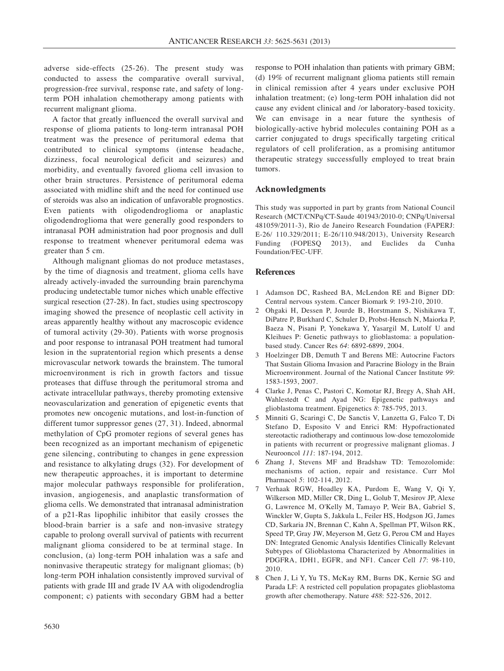adverse side-effects (25-26). The present study was conducted to assess the comparative overall survival, progression-free survival, response rate, and safety of longterm POH inhalation chemotherapy among patients with recurrent malignant glioma.

A factor that greatly influenced the overall survival and response of glioma patients to long-term intranasal POH treatment was the presence of peritumoral edema that contributed to clinical symptoms (intense headache, dizziness, focal neurological deficit and seizures) and morbidity, and eventually favored glioma cell invasion to other brain structures. Persistence of peritumoral edema associated with midline shift and the need for continued use of steroids was also an indication of unfavorable prognostics. Even patients with oligodendroglioma or anaplastic oligodendroglioma that were generally good responders to intranasal POH administration had poor prognosis and dull response to treatment whenever peritumoral edema was greater than 5 cm.

Although malignant gliomas do not produce metastases, by the time of diagnosis and treatment, glioma cells have already actively-invaded the surrounding brain parenchyma producing undetectable tumor niches which unable effective surgical resection (27-28). In fact, studies using spectroscopy imaging showed the presence of neoplastic cell activity in areas apparently healthy without any macroscopic evidence of tumoral activity (29-30). Patients with worse prognosis and poor response to intranasal POH treatment had tumoral lesion in the supratentorial region which presents a dense microvascular network towards the brainstem. The tumoral microenvironment is rich in growth factors and tissue proteases that diffuse through the peritumoral stroma and activate intracellular pathways, thereby promoting extensive neovascularization and generation of epigenetic events that promotes new oncogenic mutations, and lost-in-function of different tumor suppressor genes (27, 31). Indeed, abnormal methylation of CpG promoter regions of several genes has been recognized as an important mechanism of epigenetic gene silencing, contributing to changes in gene expression and resistance to alkylating drugs (32). For development of new therapeutic approaches, it is important to determine major molecular pathways responsible for proliferation, invasion, angiogenesis, and anaplastic transformation of glioma cells. We demonstrated that intranasal administration of a p21-Ras lipophilic inhibitor that easily crosses the blood-brain barrier is a safe and non-invasive strategy capable to prolong overall survival of patients with recurrent malignant glioma considered to be at terminal stage. In conclusion, (a) long-term POH inhalation was a safe and noninvasive therapeutic strategy for malignant gliomas; (b) long-term POH inhalation consistently improved survival of patients with grade III and grade IV AA with oligodendroglia component; c) patients with secondary GBM had a better response to POH inhalation than patients with primary GBM; (d) 19% of recurrent malignant glioma patients still remain in clinical remission after 4 years under exclusive POH inhalation treatment; (e) long-term POH inhalation did not cause any evident clinical and /or laboratory-based toxicity. We can envisage in a near future the synthesis of biologically-active hybrid molecules containing POH as a carrier conjugated to drugs specifically targeting critical regulators of cell proliferation, as a promising antitumor therapeutic strategy successfully employed to treat brain tumors.

## **Acknowledgments**

This study was supported in part by grants from National Council Research (MCT/CNPq/CT-Saude 401943/2010-0; CNPq/Universal 481059/2011-3), Rio de Janeiro Research Foundation (FAPERJ: E-26/ 110.329/2011; E-26/110.948/2013), University Research Funding (FOPESQ 2013), and Euclides da Cunha Foundation/FEC-UFF.

### **References**

- 1 Adamson DC, Rasheed BA, McLendon RE and Bigner DD: Central nervous system. Cancer Biomark *9*: 193-210, 2010.
- 2 Ohgaki H, Dessen P, Jourde B, Horstmann S, Nishikawa T, DiPatre P, Burkhard C, Schuler D, Probst-Hensch N, Maiorka P, Baeza N, Pisani P, Yonekawa Y, Yasargil M, Lutolf U and Kleihues P: Genetic pathways to glioblastoma: a populationbased study. Cancer Res *64*: 6892-6899, 2004.
- 3 Hoelzinger DB, Demuth T and Berens ME: Autocrine Factors That Sustain Glioma Invasion and Paracrine Biology in the Brain Microenvironment. Journal of the National Cancer Institute *99*: 1583-1593, 2007.
- 4 Clarke J, Penas C, Pastori C, Komotar RJ, Bregy A, Shah AH, Wahlestedt C and Ayad NG: Epigenetic pathways and glioblastoma treatment. Epigenetics *8*: 785-795, 2013.
- 5 Minniti G, Scaringi C, De Sanctis V, Lanzetta G, Falco T, Di Stefano D, Esposito V and Enrici RM: Hypofractionated stereotactic radiotherapy and continuous low-dose temozolomide in patients with recurrent or progressive malignant gliomas. J Neurooncol *111*: 187-194, 2012.
- 6 Zhang J, Stevens MF and Bradshaw TD: Temozolomide: mechanisms of action, repair and resistance. Curr Mol Pharmacol *5*: 102-114, 2012.
- 7 Verhaak RGW, Hoadley KA, Purdom E, Wang V, Qi Y, Wilkerson MD, Miller CR, Ding L, Golub T, Mesirov JP, Alexe G, Lawrence M, O'Kelly M, Tamayo P, Weir BA, Gabriel S, Winckler W, Gupta S, Jakkula L, Feiler HS, Hodgson JG, James CD, Sarkaria JN, Brennan C, Kahn A, Spellman PT, Wilson RK, Speed TP, Gray JW, Meyerson M, Getz G, Perou CM and Hayes DN: Integrated Genomic Analysis Identifies Clinically Relevant Subtypes of Glioblastoma Characterized by Abnormalities in PDGFRA, IDH1, EGFR, and NF1. Cancer Cell *17*: 98-110, 2010.
- 8 Chen J, Li Y, Yu TS, McKay RM, Burns DK, Kernie SG and Parada LF: A restricted cell population propagates glioblastoma growth after chemotherapy. Nature *488*: 522-526, 2012.